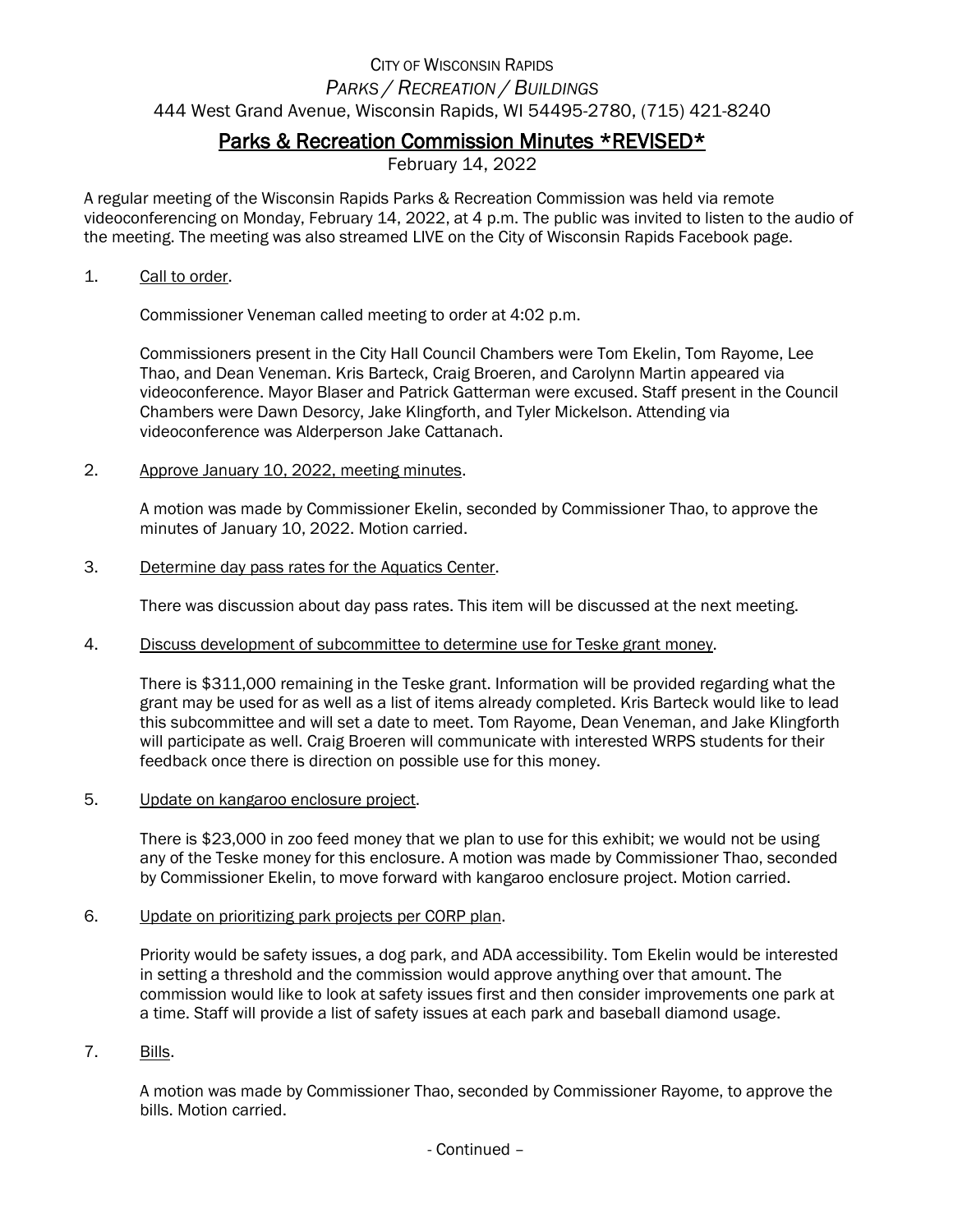## CITY OF WISCONSIN RAPIDS *PARKS / RECREATION / BUILDINGS* 444 West Grand Avenue, Wisconsin Rapids, WI 54495-2780, (715) 421-8240

## Parks & Recreation Commission Minutes \*REVISED\*

February 14, 2022

A regular meeting of the Wisconsin Rapids Parks & Recreation Commission was held via remote videoconferencing on Monday, February 14, 2022, at 4 p.m. The public was invited to listen to the audio of the meeting. The meeting was also streamed LIVE on the City of Wisconsin Rapids Facebook page.

1. Call to order.

Commissioner Veneman called meeting to order at 4:02 p.m.

Commissioners present in the City Hall Council Chambers were Tom Ekelin, Tom Rayome, Lee Thao, and Dean Veneman. Kris Barteck, Craig Broeren, and Carolynn Martin appeared via videoconference. Mayor Blaser and Patrick Gatterman were excused. Staff present in the Council Chambers were Dawn Desorcy, Jake Klingforth, and Tyler Mickelson. Attending via videoconference was Alderperson Jake Cattanach.

2. Approve January 10, 2022, meeting minutes.

A motion was made by Commissioner Ekelin, seconded by Commissioner Thao, to approve the minutes of January 10, 2022. Motion carried.

3. Determine day pass rates for the Aquatics Center.

There was discussion about day pass rates. This item will be discussed at the next meeting.

4. Discuss development of subcommittee to determine use for Teske grant money.

There is \$311,000 remaining in the Teske grant. Information will be provided regarding what the grant may be used for as well as a list of items already completed. Kris Barteck would like to lead this subcommittee and will set a date to meet. Tom Rayome, Dean Veneman, and Jake Klingforth will participate as well. Craig Broeren will communicate with interested WRPS students for their feedback once there is direction on possible use for this money.

5. Update on kangaroo enclosure project.

There is \$23,000 in zoo feed money that we plan to use for this exhibit; we would not be using any of the Teske money for this enclosure. A motion was made by Commissioner Thao, seconded by Commissioner Ekelin, to move forward with kangaroo enclosure project. Motion carried.

6. Update on prioritizing park projects per CORP plan.

Priority would be safety issues, a dog park, and ADA accessibility. Tom Ekelin would be interested in setting a threshold and the commission would approve anything over that amount. The commission would like to look at safety issues first and then consider improvements one park at a time. Staff will provide a list of safety issues at each park and baseball diamond usage.

7. Bills.

A motion was made by Commissioner Thao, seconded by Commissioner Rayome, to approve the bills. Motion carried.